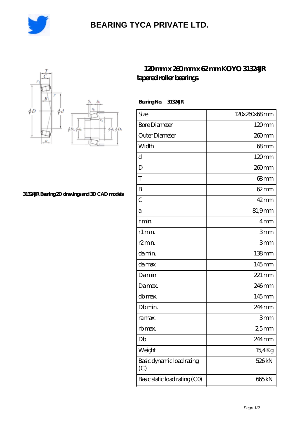

## **[BEARING TYCA PRIVATE LTD.](https://ef-u.cn)**



## **[31324JR Bearing 2D drawings and 3D CAD models](https://ef-u.cn/pic-154874.html)**

## **[120 mm x 260 mm x 62 mm KOYO 31324JR](https://ef-u.cn/au-154874-koyo-31324jr-tapered-roller-bearings.html) [tapered roller bearings](https://ef-u.cn/au-154874-koyo-31324jr-tapered-roller-bearings.html)**

 **Bearing No. 31324JR**

| Size                             | 120x260x68mm        |
|----------------------------------|---------------------|
| <b>Bore Diameter</b>             | $120 \text{mm}$     |
| Outer Diameter                   | 260mm               |
| Width                            | $68 \text{mm}$      |
| d                                | 120mm               |
| D                                | 260 <sub>mm</sub>   |
| T                                | $68 \text{mm}$      |
| B                                | $62 \text{mm}$      |
| $\overline{C}$                   | $42$ mm             |
| а                                | 81,9mm              |
| r min.                           | 4mm                 |
| r1 min.                          | 3mm                 |
| r <sub>2</sub> min.              | 3mm                 |
| da min.                          | $138$ mm            |
| damax                            | 145mm               |
| Damin                            | $221 \,\mathrm{mm}$ |
| Damax.                           | 246mm               |
| db max.                          | 145mm               |
| Db min.                          | 244 mm              |
| ra max.                          | 3mm                 |
| rb max.                          | 2,5mm               |
| Db                               | 244 mm              |
| Weight                           | 15,4Kg              |
| Basic dynamic load rating<br>(C) | 526 <sub>kN</sub>   |
| Basic static load rating (CO)    | 665 <sub>kN</sub>   |